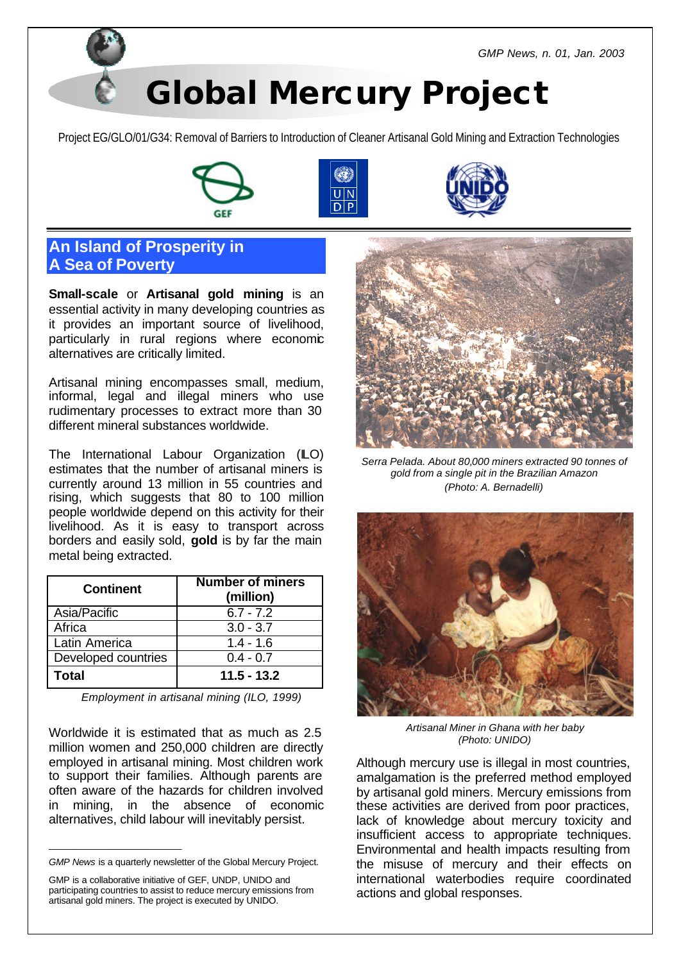*GMP News, n. 01, Jan. 2003*

# **Global Mercury Project**

Project EG/GLO/01/G34: Removal of Barriers to Introduction of Cleaner Artisanal Gold Mining and Extraction Technologies







### **An Island of Prosperity in A Sea of Poverty**

**Small-scale** or **Artisanal gold mining** is an essential activity in many developing countries as it provides an important source of livelihood, particularly in rural regions where economic alternatives are critically limited.

Artisanal mining encompasses small, medium, informal, legal and illegal miners who use rudimentary processes to extract more than 30 different mineral substances worldwide.

The International Labour Organization (ILO) estimates that the number of artisanal miners is currently around 13 million in 55 countries and rising, which suggests that 80 to 100 million people worldwide depend on this activity for their livelihood. As it is easy to transport across borders and easily sold, **gold** is by far the main metal being extracted.

| <b>Continent</b>    | <b>Number of miners</b><br>(million) |
|---------------------|--------------------------------------|
| Asia/Pacific        | $6.7 - 7.2$                          |
| Africa              | $3.0 - 3.7$                          |
| Latin America       | $1.4 - 1.6$                          |
| Developed countries | $0.4 - 0.7$                          |
| <b>Total</b>        | $11.5 - 13.2$                        |

*Employment in artisanal mining (ILO, 1999)*

Worldwide it is estimated that as much as 2.5 million women and 250,000 children are directly employed in artisanal mining. Most children work to support their families. Although parents are often aware of the hazards for children involved in mining, in the absence of economic alternatives, child labour will inevitably persist.

\_\_\_\_\_\_\_\_\_\_\_\_\_\_\_\_\_\_\_\_\_\_\_\_\_\_



*Serra Pelada. About 80,000 miners extracted 90 tonnes of gold from a single pit in the Brazilian Amazon (Photo: A. Bernadelli)*



*Artisanal Miner in Ghana with her baby (Photo: UNIDO)*

Although mercury use is illegal in most countries, amalgamation is the preferred method employed by artisanal gold miners. Mercury emissions from these activities are derived from poor practices, lack of knowledge about mercury toxicity and insufficient access to appropriate techniques. Environmental and health impacts resulting from the misuse of mercury and their effects on international waterbodies require coordinated actions and global responses.

*GMP News* is a quarterly newsletter of the Global Mercury Project.

GMP is a collaborative initiative of GEF, UNDP, UNIDO and participating countries to assist to reduce mercury emissions from artisanal gold miners. The project is executed by UNIDO.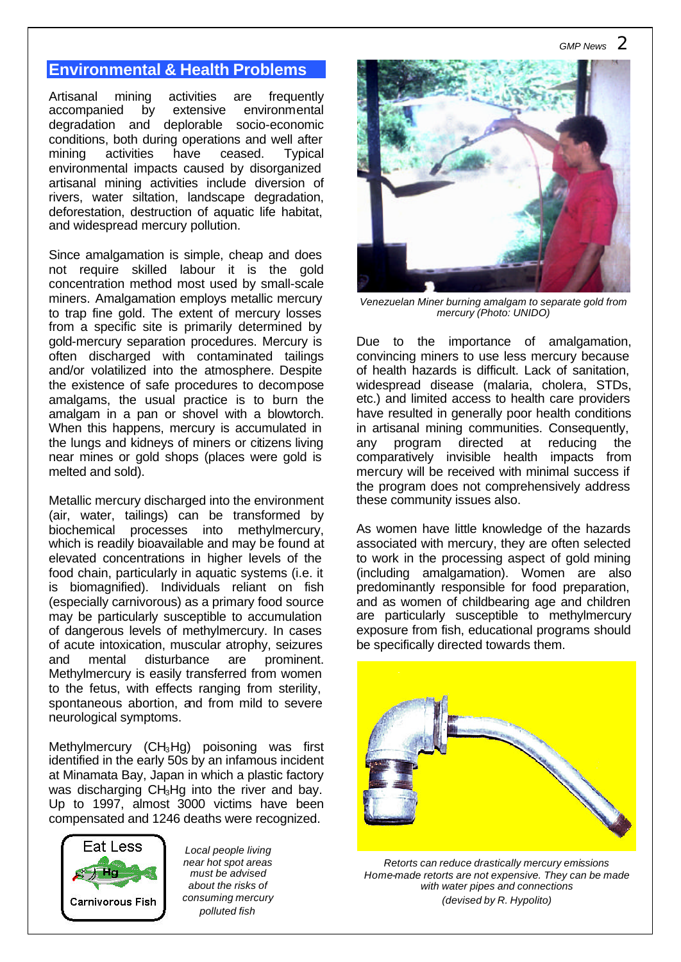# **Environmental & Health Problems**

Artisanal mining activities are frequently accompanied by extensive environmental degradation and deplorable socio-economic conditions, both during operations and well after mining activities have ceased. Typical environmental impacts caused by disorganized artisanal mining activities include diversion of rivers, water siltation, landscape degradation, deforestation, destruction of aquatic life habitat, and widespread mercury pollution.

Since amalgamation is simple, cheap and does not require skilled labour it is the gold concentration method most used by small-scale miners. Amalgamation employs metallic mercury to trap fine gold. The extent of mercury losses from a specific site is primarily determined by gold-mercury separation procedures. Mercury is often discharged with contaminated tailings and/or volatilized into the atmosphere. Despite the existence of safe procedures to decompose amalgams, the usual practice is to burn the amalgam in a pan or shovel with a blowtorch. When this happens, mercury is accumulated in the lungs and kidneys of miners or citizens living near mines or gold shops (places were gold is melted and sold).

Metallic mercury discharged into the environment (air, water, tailings) can be transformed by biochemical processes into methylmercury, which is readily bioavailable and may be found at elevated concentrations in higher levels of the food chain, particularly in aquatic systems (i.e. it is biomagnified). Individuals reliant on fish (especially carnivorous) as a primary food source may be particularly susceptible to accumulation of dangerous levels of methylmercury. In cases of acute intoxication, muscular atrophy, seizures and mental disturbance are prominent. Methylmercury is easily transferred from women to the fetus, with effects ranging from sterility, spontaneous abortion, and from mild to severe neurological symptoms.

Methylmercury (CH3Hg) poisoning was first identified in the early 50s by an infamous incident at Minamata Bay, Japan in which a plastic factory was discharging CH<sub>3</sub>Hg into the river and bay. Up to 1997, almost 3000 victims have been compensated and 1246 deaths were recognized.



*Local people living near hot spot areas must be advised about the risks of consuming mercury polluted fish*



*Venezuelan Miner burning amalgam to separate gold from mercury (Photo: UNIDO)*

Due to the importance of amalgamation, convincing miners to use less mercury because of health hazards is difficult. Lack of sanitation, widespread disease (malaria, cholera, STDs, etc.) and limited access to health care providers have resulted in generally poor health conditions in artisanal mining communities. Consequently, any program directed at reducing the comparatively invisible health impacts from mercury will be received with minimal success if the program does not comprehensively address these community issues also.

As women have little knowledge of the hazards associated with mercury, they are often selected to work in the processing aspect of gold mining (including amalgamation). Women are also predominantly responsible for food preparation, and as women of childbearing age and children are particularly susceptible to methylmercury exposure from fish, educational programs should be specifically directed towards them.



*Retorts can reduce drastically mercury emissions Home-made retorts are not expensive. They can be made with water pipes and connections (devised by R. Hypolito)*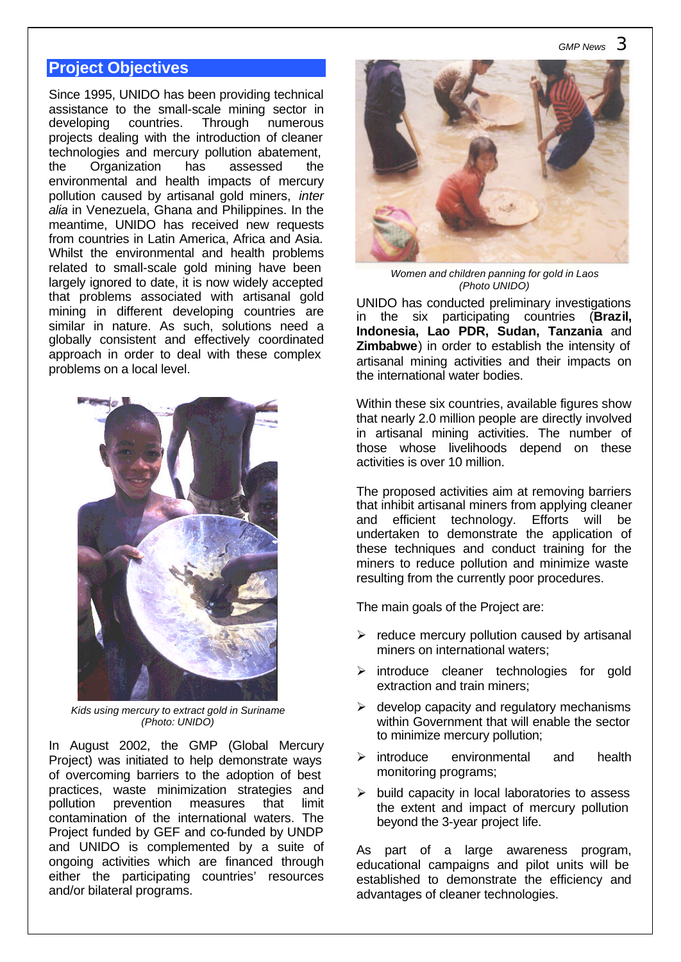# **Project Objectives**

Since 1995, UNIDO has been providing technical assistance to the small-scale mining sector in developing countries. Through numerous projects dealing with the introduction of cleaner technologies and mercury pollution abatement, the Organization has assessed the environmental and health impacts of mercury pollution caused by artisanal gold miners, *inter alia* in Venezuela, Ghana and Philippines. In the meantime, UNIDO has received new requests from countries in Latin America, Africa and Asia. Whilst the environmental and health problems related to small-scale gold mining have been largely ignored to date, it is now widely accepted that problems associated with artisanal gold mining in different developing countries are similar in nature. As such, solutions need a globally consistent and effectively coordinated approach in order to deal with these complex problems on a local level.



*Kids using mercury to extract gold in Suriname (Photo: UNIDO)*

In August 2002, the GMP (Global Mercury Project) was initiated to help demonstrate ways of overcoming barriers to the adoption of best practices, waste minimization strategies and pollution prevention measures that limit contamination of the international waters. The Project funded by GEF and co-funded by UNDP and UNIDO is complemented by a suite of ongoing activities which are financed through either the participating countries' resources and/or bilateral programs.



*Women and children panning for gold in Laos (Photo UNIDO)*

UNIDO has conducted preliminary investigations in the six participating countries (**Brazil, Indonesia, Lao PDR, Sudan, Tanzania** and **Zimbabwe**) in order to establish the intensity of artisanal mining activities and their impacts on the international water bodies.

Within these six countries, available figures show that nearly 2.0 million people are directly involved in artisanal mining activities. The number of those whose livelihoods depend on these activities is over 10 million.

The proposed activities aim at removing barriers that inhibit artisanal miners from applying cleaner and efficient technology. Efforts will be undertaken to demonstrate the application of these techniques and conduct training for the miners to reduce pollution and minimize waste resulting from the currently poor procedures.

The main goals of the Project are:

- $\triangleright$  reduce mercury pollution caused by artisanal miners on international waters;
- $\triangleright$  introduce cleaner technologies for gold extraction and train miners;
- $\triangleright$  develop capacity and regulatory mechanisms within Government that will enable the sector to minimize mercury pollution;
- $\triangleright$  introduce environmental and health monitoring programs;
- $\triangleright$  build capacity in local laboratories to assess the extent and impact of mercury pollution beyond the 3-year project life.

As part of a large awareness program, educational campaigns and pilot units will be established to demonstrate the efficiency and advantages of cleaner technologies.

#### *GMP News 3*